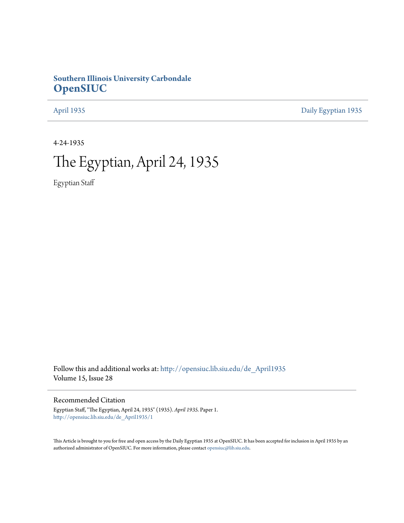## **Southern Illinois University Carbondale [OpenSIUC](http://opensiuc.lib.siu.edu?utm_source=opensiuc.lib.siu.edu%2Fde_April1935%2F1&utm_medium=PDF&utm_campaign=PDFCoverPages)**

[April 1935](http://opensiuc.lib.siu.edu/de_April1935?utm_source=opensiuc.lib.siu.edu%2Fde_April1935%2F1&utm_medium=PDF&utm_campaign=PDFCoverPages) [Daily Egyptian 1935](http://opensiuc.lib.siu.edu/de_1935?utm_source=opensiuc.lib.siu.edu%2Fde_April1935%2F1&utm_medium=PDF&utm_campaign=PDFCoverPages)

4-24-1935

# The Egyptian, April 24, 1935

Egyptian Staff

Follow this and additional works at: [http://opensiuc.lib.siu.edu/de\\_April1935](http://opensiuc.lib.siu.edu/de_April1935?utm_source=opensiuc.lib.siu.edu%2Fde_April1935%2F1&utm_medium=PDF&utm_campaign=PDFCoverPages) Volume 15, Issue 28

## Recommended Citation

Egyptian Staff, "The Egyptian, April 24, 1935" (1935). *April 1935.* Paper 1. [http://opensiuc.lib.siu.edu/de\\_April1935/1](http://opensiuc.lib.siu.edu/de_April1935/1?utm_source=opensiuc.lib.siu.edu%2Fde_April1935%2F1&utm_medium=PDF&utm_campaign=PDFCoverPages)

This Article is brought to you for free and open access by the Daily Egyptian 1935 at OpenSIUC. It has been accepted for inclusion in April 1935 by an authorized administrator of OpenSIUC. For more information, please contact [opensiuc@lib.siu.edu](mailto:opensiuc@lib.siu.edu).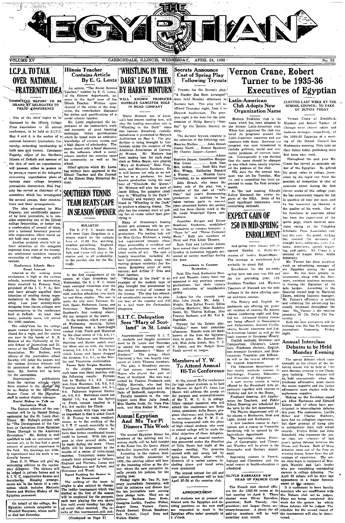

CARBONDALE, ILLINCIS, WEDNESDAY, APRIL 24, 1935 .

 $\overline{\overline{\text{volume}} \times \text{v}}$ 

## **LC.P.A. TO TALK OVER NATIONAL FRATERNITY IDEA**

COMMITTEE REPORT TO BE<br>HEARD BY DELEGATES TO<br>PRESS CONFERENCE

One of the chief topics to be social science teacher.<br>Clients and qualifications of a discussed by the Hinois College Mr. Lentz emphasized the in-<br>Press Association in its annual Portance of the instructor's work<br>conferen conference, to be held at S.I.T.C. the halo conference, other qualifications<br>May 3 and 4, is the matter of a which he listed were an extensive and  $v_0$  and  $v_1$ , are motett or  $a_1$  which he instead were an extensive and hence a terminonal hence are the state of  $a_1$  is high degree of scholarship. The both mean and women. Constantly to  $|a_1|$  is high degree both men and women. Composition the influence winds a committee of DeKalb and sponsor of his community as well as his the idea of such an organization, school. will present, either in person or by proxy, a report to the delegates concerning organization plans of college honorary various state iournalistic fraternities. Miss For arty has served as chairman of a arty has served as chairman of a **SOUTHERN TENNIS** the several groups, their constitutions and their arrangements

tions and their arrangements.<br>The idea advocated by Miss<br>Tegratry, and unofficially approved<br>side y local journalists, is to com-<br>sider expanding one of the lilinois<br>college fracterities, or better yet,<br>incomending the dem

six conference members concerns censorship of college news publicetions

### Conference Schools Show Great Interest

Conserver Scutter and Conservation of the coming press<br>conference is high at the various schools, according to cammunications<br>for the strength of the L C. P. A.: Several have already signified the<br>interval from a received

are now in the hands of R. R.<br>Barrow of the University of Illi-<br>nois School of Journalism and Director of the Illihosis College Press<br>Association. Mr. Barlow, with the solution others of the journalism school<br>for faculty,

From the various<br>chool Representative publications from the various schools which were entered in the of<br>proget will be on display at the edgreention. Japane Cross of the Egyptian<br>staff is contest display manager. Daniel f publications Representative

The feature address of the con-<br>rention will be by Daniel Bishop,<br>extromist for the St. Louis Star-<br>Times. Mr. Bishop's subject will<br>be "The Development of the Gar-<br>toon or Caricature from Egyptian<br>Times Through to the Am

**Illinois Teacher** Contains Article

An article, "The Social Science"<br>Teacher," written by E. G. Lencz, of the History department, appears in the April issue of the particular<br>Blinois Teacher. Written upon<br>reguest of the editor of the magnetic reguest of the azine, the contribution discusses<br>the duties and qualifications of a

noon.<br>Other articles which Mr. Lentz Other articles which Mr. Lentz<br>has written have appeared in the<br>Illinois Teacher and the Journal<br>of the Illinois State Historical So-

# **TEAM BEATS CAPE IN SEASON OPENER**

### **BULLETIN**

**BULLETIN**<br> **CELETING THE SUPPLE TO CONSTRANT CONSTRANT CONSTRANT PROPERTIES AND NOTE AND NOTE FOR FORMAL WARRING THE PROPERTIES CONSTRANT FOR FORMAL SUPPLY SUPPLY SUPPLY SUPPLY SUPPLY SUPPLY SUPPLY SUPPLY SUPPLY SUPPLY SU** 

In the first engagement of the season, at Cape Girardeau last<br>Wednesday, the S. I. T. C. tennis Wednesday, the S. I. T. C. tennis<br>team emerged victorious over the<br>Indians by winning five of the<br>nine matches scheduled, two doub-

eral have already signified their Indians by winning the of the bine<br>thin the conductants of sending strong regree less and these signes. The ment to send<br>tations to the two-day gradh – make the trip were Favreau, Syering

In the singles engage<br>number of the following results: Note that with the following results: Foveral lots to Manley 6-1, 6-3. Luces<br>on from Huesmann, 2-6, 6-2, 6-3. Trouten defends the part of the following results:<br>Trout In the singles engagements,<br>each team won three matches with

be "The network from Egyptian | doubles combinations, well-<br>toon or Caricative from Egyptian | doubles combinations, well-<br>There Theoreth I. the American is could be formed. With this pure<br>qualified to talk on carried rea

## 'WHISTLING IN THE By E. G. Lentz DARK' LEAD TAKEN **BY HARRY MINTURN**

WELL KNOWN PRODUCER<br>HANDLES GANGSTER ROLE<br>IN ROAD COMPANY

Harry Minturn one of Americally building one of Amer-<br>ica's hest known leading men. will. reas best known leading masculine role in entation of Philip Barry's "Holi-<br>play the leading masculine role in entation of Philip Barry's "Holi-<br>"Whistling in the Dark" when day" by the Zetetic literary so-<br>this famous Br nuou anno an pearana na bhaile ann an Aonaichteach<br>Aonaichteach<br>Aonaichteach<br>Dondale under the anspiest of the<br>bondale under the anspiest of the<br>Aonaich of University of Scotland, The High Stars as Helen Hayte, the<br>Party Auditorium on May 6. The pro-Four of "Elizabeth the Queen."<br>
Mr. Minturn will play the part of  $\overline{M}$ . Minturn will play the part of  $\overline{M}$  condition, the gangster chief-<br>
Usin in "Whistling in the Dark."<br>
Comedy and mystery are com-<br>
binds in "W

If ying it,<br>
If ying it,<br>
If ying it,<br>
Nany of Broadway's leading Morgan and Ernest<br>
Nany of Broadway's leading Geraldine Morgan and Ernest<br>
setted with Mr. Minturn in the themselves as campus troupers in<br>
production. The

Earl Jamison. Farl Jamison.<br>
Parl Jamison in the Dark" is an example of the modern type of play brought into prominence by play brought the recent revival of interest in the theatre. The play has attracted on the considerable success i ed considerable success in its present tour of the country and will<br>be a real treat for Carhondale<br>playgoers.

 $\begin{tabular}{c|c|c} & \multicolumn{4}{c}{\textbf{case}~\textbf{Rachel}} & \multicolumn{4}{c}{\textbf{case}~\textbf{Rachel}} & \multicolumn{4}{c}{\textbf{case}~\textbf{Rachel}} & \multicolumn{4}{c}{\textbf{case}~\textbf{Rachel}} & \multicolumn{4}{c}{\textbf{Malelle}} & \multicolumn{4}{c}{\textbf{Malelle}} & \multicolumn{4}{c}{\textbf{Malelle}} & \multicolumn{4}{c}{\textbf{Malelle}} & \multicolumn{4}{c}{\textbf{Malelle}} & \multicolumn{4}{c}{\textbf$ 

consider the play, a Broadwig success Theory and The play, a Broadwig success of last sets<br>on, that sets and the play of the play of Scotland. She was sup-<br>ported by Paulum Production of Scotland. She was sup-<br>ported by Pa

# Annual Egyptian<br>And Mu Tau'Pi<br>Dinners This Week

The annual Egyptian dinner fo members of the retiring and in-<br>coming staffs will be held tonight coming starfs will be held tonight<br>at the Kater Inn, Du Quoin. About<br>thirty-five journalists will attend<br> $\lambda$  According to the custom instituted by Orville Alexander in<br>1931, the retiring editor will house in 1931, the ret

coming year.<br>Friday night Mu Tau Pi, hon-<br>prary journalistic fraternity, will<br>hold its initiation and dinner for

.<br>Socrats Announce **Cast of Spring Play Following Tryouts** 

Tryouts for the Socratic play, A Murder Has Been Arranged were held Monday afternoon in Latin-American Socratic hall. This play will be offered Thursday night, June 6 in! Shrvock Auditorium. The previous night is the date for the pres entation of Philip Barry's "Holi-

The Socratic tryouts resulted in<br>the selection of the following cast: wing cast Maurice Mullins ........ John Straub<br>Jimmy North .... Ernest Brashear

Miss Groze Ruth Nast Cavendish, to be announced later 14, and a committee has been ap-<br>heavy role of the play, was a pointed to make the final arrange-<br>heavy role of the play, was a pointed to make the final arrange-<br>member of the cast of "Al ductions.

ductions.<br>
Grandine Morgan and Ernst<br>
Granden, freshmen, established<br>
themselves as campus troupers in<br>
"The "n" and "Three Cornered<br>
Moon." Both are members of<br>
Strut and Fret Little Theatre.

gave "

ability. Judges for the tryouts were Miss Julia Jonah, Mr. John I. Wright, Miss Esher Power, Edina. Comparent Communication Smith, Dr. The<br>Imm Keleyer, Miss Madeline Smith, Dr. The Smith, Dr. The<br>Smith, Dr. Themas Keleyer,

At the annual Hi-Tri confer for high school students to be held at Marion on April 27, Anna Lee<br>Moore will address the group on More will address the group<br>of the Y. W. C.  $\Lambda$ . In college.<br>Other cabinet members who will<br>Other cabinet members who will steed<br>steed the conference are Betty<br>Jones, president; Zella Boner, program chairman; and Ilecta Walk-

er, secretary of the T. W. C. A.<br>Getting acquainted with the plane<br>of high school students who want<br>to attend college will be made the<br>chief objective of these delegates. A program of musical numbers<br>was presented under the direction<br>of Zella Boner last night at the of Zella Boner last night at the regular meeting. The program<br>opened with pep songs led by<br>Anna Lee Moore, after which<br>niumbers of a varied nature, in<br>niumbers of a varied nature, in<br>cluding piano and vocal solos,<br>were pre

The annual retreat for old and<br>new cabinet members will be held<br>April 27-28 at the country club.

## Vernon Crane, Robert Turner to be 1935-36 **Executives of Egyptian**

**Club Adopts New Organization Name** 

Modern Problems club is name which has been adopted by<br>the former Latin-American club. the former Latin-American cuto.<br>When first organized the club centered its programs around the Latin-American countries and our relations with them. However the program was soon broadened to Theorem was soon broadend to<br>  $\frac{1}{1}$  increase on broadend to<br>  $\frac{1}{1}$  include political, social and economic problems of current inter-<br>  $\frac{1}{1}$  that the name should be changed<br>  $\frac{1}{1}$  to one which more nearly e

## **EXPECT GAIN OF** 250 IN MID-SPRING **ENROLLMENT**

Ruth Ella Neal, Katherine Stan-<br>spring term last year was 263 and<br>and and Musette Carey have not for the preceding year, 232.<br>appeared in any pravious campus i Southern Teachers and Western<br>gave indication of considerable ial mid-term courses.

The History and Engine the graduate rest varieties of courses, the history classes numbering eight and Eng-<br>is a state and the set of the state of the state and the state are being offered in Renaisance<br>and Reformation, An and Reformation, Ancient Civilia-<br>ations, Recent American and Lat-<br>in-American history as well as the<br>basic courses in European Matory.<br>English methods, Grammar and Composition, Children's Litera-<br>ture, Freshman retetoric, non-dramatic literature, and Shaknon-gramatic therature, and changes<br>especial Pragedies and Romanc-<br>gs will be the course offerings of<br>the English department.<br>The Education department of-

 $\frac{1}{2}$ 

ment.<br>Beginning courses in French.<br>Zoology and Chemistry and the<br>usual course in health-education is scheduled.

## OLIVER KARRAKER NEW<br>HEAD OF FRENCH CLUB

The French club elected offic-<br>ers for che 1935-36 terms at its<br>last meeting on April 8. Those<br>elected were Oliver Karraker,  $[ \begin{array}{c} \begin{bmatrix} \text{11} & \text{12} & \text{13} & \text{14} & \text{15} & \text{16} & \text{17} & \text{18} & \text{18} & \text{19} & \text{10} & \text{10} & \text{16} & \text{17} & \text{18} & \text{18} & \text{19} & \text{10} & \text{10} & \text{10} & \text{10} & \text{10} & \text{10} & \text{10} & \text{10} & \text{10} & \text{10} & \text{10} & \text{10} & \text{$ 

ELECTED LAST WEEK BY THE SCHOOL COUNCIL: TO TAKE<br>UP DUTIES TODAY

 $\overline{N_0$  28

Vernon Crane of Brookfield Missouri and Robert Turner of business manager, respectively, of the 1935-36 Egyptian at a meeting of the School Council last ing or the scribbi Council last their duties today, publishing their first issue next week.

Throughout the past year Mr. Crane has served as associate ed-<br>itor of the Egyptian. He proved his great value to college journ-<br>alism by his rapid rise from the position of competitor to that of -<br>associate editor during the first eleven weeks of this college year. He has consistently topped the list in quanticy of copy per issue, and he has measured up likewise in the quality of his work. One of his functions as associate editor has been the supervision of the sports page, which received maximum rating at the Columbia Scholastic Press Association consenorastic riess association con-<br>test this year. His prolific writing<br>has covered the divisions of<br>straight news, editorials, news fea-

. Mid-spring term classes will be straight news, editorials, news found<br>opened Monday in thirty-four ing, and sports. Mr. Crane is a contrast of twelve departiments. In the<br>material contrast of the second results of the i spring term last year was 263 and Year. He has been greatly in-<br>for the preceding year,  $\cdot$  322. Strumental, along with Joe Stor-<br>for the preceding nod Western in freeing the Egyptian of its<br>Southern Teachers and Western bleges in the state offering spec. funnatil record kept by Harrison<br>The History courses.<br>The History and English de-<br> $\frac{1}{2}$ Mic. Turner's efficiency in selling<br>runners. The History and English de-<br> $\frac{1}{2}$  and collectin ternity.

ternity.<br>Both the new executives will be<br>initiated into Mu Tau Pi, honorary<br>journalistic fraternity. Friday nieht

### Annual Interclass Debates to be Held Monday Evening

as will be the course offerings of The spring debates which comes the English department of annually as the climax of the details are smally methods courses in next Monday evening in the held at 730 pyrology. Pirmary Educ The spring debates which come

Light, Sound and Mechanics. Leadle on Charles Mathews, A new teachers course in Agri- but show had no collegiate experience, A new teachers course in Agri- but show promise of being alle Universal of the substantiate thei for class, are veterans of last<br>year's spring debates between the<br>Illinae and Forum. Both of these<br>debaters came out of the fray on<br>winning teams, hence have the advantage of experience. The sen-<br>for class team is compose or class team is composed of Mart-<br>given the and Lois Snider<br>who are completing outstanding<br>careers in college debating. The<br>April 29 debate will be their last<br>sppearance in a major forensic

event on this campus.<br>It is customary to have faculty

sented at society meetings during courses of twelve departments.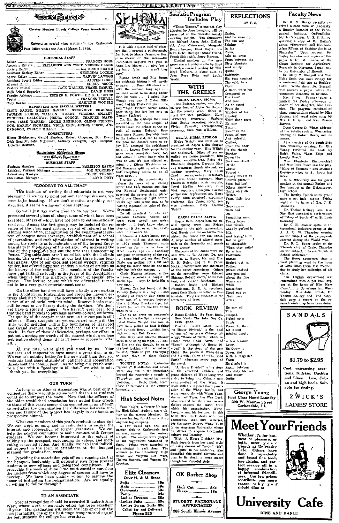

AGE TWO

Charter Member Illinois College Press Association Entered as second class matter in the Carbondals

## ost Office under the Act of March 3, 1879. **EDITORIAL STAFF**

| Associate Editors  ELIZABETH ANN WEST, VERNON CRANE |  |  |
|-----------------------------------------------------|--|--|
|                                                     |  |  |
|                                                     |  |  |
|                                                     |  |  |
|                                                     |  |  |
|                                                     |  |  |
|                                                     |  |  |
|                                                     |  |  |
|                                                     |  |  |
|                                                     |  |  |
|                                                     |  |  |
|                                                     |  |  |

EWS, JESSE WARREN, CECILE ROBINSON, GLENN FULKER.<br>SON, MARION RICHARDS, VIOLA CRIM, JENNIE LEWIS, ANN LANGDON, EVELYN MILLER.<br>SON, MARION RUELYN MILLER.<br>DOMPETITORS<br>Dire Beggoti, John McDonal, Anthony Venegoni, Loyal Compt  $\epsilon_{\rm A}$ 

# Associated Collegiate Press

### **BUSINESS STAFI**

HARRISON EATON **JOE STORMENT** Advertising Manager<br>Circulation Manager ROBERT TURNER LLOYD DOTY

### "GOODBYE TO ALL THAT"

This business of writing final editorials is not very pleasant. If we try to point out our accomplishments, we seem to be boasting. If we don't mention any thing constructive, it seems we haven't done anything.

So we'll just say we've tried to do our best. We've presented several plans all along, some of which have been<br>accepted, others of which have not been so enthusiastically presenced others of which have not been so enthusiastically<br>presenced others of which have not been so enthusiastically<br>received. Among the first group may be included the re-<br>vision of the class card system, revival of in

out to be a very good entertainment series.<br>
out to be a very good entertainment series.<br>
On the other hand we still have a baddy worn curtain<br>
in the Auditorium. Fratermities and sororities haven't en-<br>
triely abolished h

and any rate, we're glad you stood by us. Your patience and cooperation have meant a great deal to us. We can ask nothing better for the new staff than that you maintain that same attitude of patience and cooperation thro

### **OUR TURN**

As long as an Alumni Association was at best only a conjecture there was little active work that we as students could do to support the move. Now that the officers of the odder established association have added their effo

prospective animalines of this year's graduating class do?<br>We can work as units and is individuals to secure the<br>interest and cooperation of former graduates. We can<br>help the general committee to make contact with former<br>s planned for graduation week.

praimen for graduation week,<br> $\epsilon$  Providing the association gets off on a running start at<br>the banquet, leadership will naturally pass from present<br>students to new officers and delegated committes. But<br>preceding the week

### TO AN ASSOCIATE

Special recognition should be accorded Elizabeth Ann<br>West, whose work as associate editor has been excellent<br>all year. Her graduation will mean the loss of one of the<br>pest journalists, one of the best stage troupers, and o



 $\star$  .

It is with a great deal of please It is with a great a major-mache<br>the fish hook to Maxie Cassanova Rea,<br>prize sucker of the week—the<br>lead-plated angler's rod goes to Anna Lee Moore . . . give 'em a<br>big hand, folks . . . aren't they

Rossie Smith and Rita Braun<br>re evidently hitting it off togeth-<br>r again . . . Fuzz Hill struck out are evidently hitting it off togeth-<br>are ergain... Fuzz Hill struck out<br>with the redhead long ago...<br>someone seems to be doing better<br>than he could... I asked likey<br>wood had his Theta Chi pin... he<br>wood had his Theta Chi p

My, My, the spirt-ups that have<br>courred in the past couple of<br>weeks leave me aghast at the on-<br>ruah of events—Deborah Bow-<br>man gave Russell Reynolds back<br>to the Jondan and, and to relate,<br>to the boor lad doesn't seem to en joy life amongst his realishmed<br>gave some Deck purportedly<br>gave some youngster back, too,<br>but sither I never knew who it<br>was or else it's just slipped my<br>mind. . . Elsen Washburn and<br>but everything seems to be all<br>right no

right now...<br>
I grasp at the opportunity to<br>
release the news co a waiting<br>
usorid that Earl Hanson and Mar-<br>
usorid the severe strain placed<br>
survived the severe strain placed on'it one Thursday night several<br>weeks ago and seems now to be<br>holding together-in spite of Beth

noning together-<br>
To all practical intents and  $\Gamma$ <br>
To all practical intents and<br>
purposes LaVerne Adams and<br>
Ethel Fern Atwell are going<br>
steady... I don't know whether<br>
what it is mounts to.<br>
what it is mounts to the l

To all practical intention and  $\mathbf{A}$  is a state of the spin Bell adjoint in an all properties and the spin and the spin and the spin and the spin and the spin and the spin and the spin and the spin and the spin and the Understand I don't know, but a<br>little bird don the meth eight<br>at 1907 south Thompson sortal<br>timed on for a while two or<br>three weeks ago ... Insulador<br>three weeks ago ... Insulador<br>was gone or something of the sort;<br> $\text{Cage$ 

new man.

Experience Cox just round out transfer<br>praising of Eugene Cox, there is<br>some sort of a mystery between<br>him and Mary Breckenridge, but<br>I can't find out for the life of me what it is. hat it iz. . .<br>Due to an error on someone's

Due to an error on someones<br>part last time the Sphinx was pub-<br>lished Eloise Wright was said to<br>have been picked as best looking<br>girl by Bob Berry . ..which isn't<br>right—it was Bob Reeves...<br>Jum Gray and Maxime Steiner.

Jim Gray and Maxim Steiner<br>seem to be noing all right. I asked Jim one day though, to name<br>the best looking girl in school and<br>he said, "Nuts to you, I'm trying<br>to keep three of them fooled<br>to keep" three of them fooled SOCIETY NOTE: Catherine

SOCIETY NOTE: Catherine<br>
"Queenie" Huddleston and escort<br>
were 'way out in the hinterland<br>
beyond the reservoir a couple of Thursdays ago inspecting peach<br>blossoms. . Deah, Deah, aren't those ahftahnoons in the country

## **High School Notes**

Paul Knight, a former Univers ratu Kinght, a former University High School student, was a vis-<br>liter on the campus Monday. He<br>is soon leaving for Africa with an

is a<br>som leaving for Africa with an experiment prompary. A few weeks age,<br>the local garden cubu in Carbondale held<br>an essay contest in the various school. The essays were judged<br>in the same property of the same of the sup C.

Socratic Program Includes Play e Women," a one act play  $n_{\rm T}$ 

THE EGYPTIAN

"These Women," a one act play<br>givented by Ann Langdon, will be<br>greenated at the Socratic society<br>presented at the Socratic society<br>meeting tonight. The cheracters<br>are Richard Ames, John McDon-<br>add, Amy Chauvanet, Margarét<br>

Musical numbers on the pro nusical numbers on the pro-<br>gram are a trombone solo by Fred<br>Besant, a musical reading by Win-<br>ifred McGuire, a piano duet by<br>Jean Rose Felts and Louise Jean<br>Wedell.



SIGMA SIGMA SIGMA<br>Jane Federer, senior, was elected<br>president of Alpha Nu chapter<br>for the coming year. Other ofed president of Alpha Nu chapter<br>for the coming year. Other of-<br>ficers are vice president, Mary<br>Lawrence; treasurer, Barbara<br>Jane Scott; recording secretary,<br>Vivian Fawcett; corresponding<br>secrecary, Eula Mae Williams.

## DELTA SIGMA EPSILON<br>Eloise Wright was installed

Eloise Wright was installed as<br>president of Alpha Delta chapter<br>for the coming year. Miss Wright<br>was re-elected. Other officers in-For the counterparts of the following in the content of the stabled are house president, Rita Down the Brann; rice-president, Betty Mc Backbone street Ellistating; chaptain, Dophilop Har- Of the corresponding. severally st chairman, Mary wice<br>Wright.

## KAPPA DELTA ALPHA

### **BOOK REVIEW**

BOOK KEVIEW This, This was all all the same priories. This is a set of the set all the set of the set of the set of the set of the set of the set of the set of the set of the set of the set of the set of the set of the set

and his wife, O-lano of "The Good"<br>
Parth" influences every page of  $\frac{1}{2}$  the novel.<br>
Texth" influences every page of  $\frac{1}{2}$ <br>
the novel.<br>
Influences every page of  $\frac{1}{2}$ <br>
the novel. However, the store of Nang-La

of using dozens of "ands," "ifs"<br>and "buts" in her sentences. She<br>discarded this useful formula and<br>uses in its stead, a more direct<br>though less forceful style.



**REFLECTIONS RY F S** 

**Theory** Easter,<br>And he woke up.<br>The sun was<br>Shining In his Poom  $A \dot{B}$ d he arose From between<br>Dirty blankets And musty<br>Quilts.

Holtingly His toes touch<br>The cold, bare tourbad Floor,

A floor, white-hot<br>Compared to<br>His heart And soul And sour.<br>
As he gazed<br>
From the<br>
Window of his Gloomy. Third floor room He sav<br>Easter, *Easter*,<br>Easter in th

Sense of new Clothes. From the door of the church,<br>
Parther<br>
Down the<br>
Backbone street Poured a<br>Steady stream of<br>Church goers,—<br>Some habitual,

...<br>Grownups --Each had  $O<sub>m</sub>$ 

On<br>Something new.<br>Young ladies<br>And misses,<br>Gaudily garbed in

He saw all This.

|<br>| Yawn<br>| He climbed in He chinoed in<br>Again between<br>The dirty blankets<br>And musty

Quilts. George Young

First Class Hand Laundry 209 W. Monroe Street<br>Carbondale, Ill.





**Meet YourFriends** Whether it's for buss or pleasure, or<br>h, meet your mess or pleasure, or<br>heath meet your reflections at University<br>Cafe. Others have<br>done it repeatedly<br>and found fine food,<br>fine drinks, and per-<br>fect service all in a combination happy combination<br>of informal friendliness. Our low prices<br>contribute one more<br>reason why your<br>should dine at University Cafe



## **Faculty News**

Dr. W. M. Bailey recently received a card from W. Kadorsky. ceived a card from W. Kadorsky, a Russian botanist at the Peda-<br>gogical Institute, Ordjonikidze, North Caucassus, U.S. S. R. re-<br>questing a copy of Dr. Bailey's<br>paper, "Structural and Metabolic paper, surfaceural and methodologies of Solating Seeds of Phaseolus." Upon request, Dr. Bajley has also sent copies of this paper to Dr. M. Kondo, of the Obara Institute for Agricultural Research in Okavama, Japan, and

Research in Okayama, Japan, and to the University of Hawaii.<br>Dr. Mary M. Steagall and Miss<br>Hilda Stein will leave Friday for<br>a week-end field trip at Reelfoot<br>Lake. While there, Dr. Steagall<br>Lake. While there, Dr. Steagall will present a paper before the

will present a paper before the masses Academy of Science.<br>
Mrs. Simon Boomer' gave a musical tes Friday atternoon in honor of the fugalemy. Mass Bernard in the Bernard in the Science of the program consisted of Boomer and

Jarrett.<br>Dean George D. Wham address-<br>ed the Zetetic sociecy, Wednesday<br>evening on Robert Burns and his poetry

poetry.<br>
At a meeting of the South Side club Thursday evening, Dr. Otis<br>
Young reviewed the book by<br>
Young reviewed the book by<br>
Ralph Paine, "Lost Ships and<br>
Lonely Seas,"<br>
Miss Charlocte Zimmerschied<br>
and Miss Loui Rocch

week.<br>R. E. Muckleroy was the guest<br>speaker at the annual Father and Son banquet at the McLeansboro high school.

The faculty French study group<br>gave a pot luck supper Friday<br>night at the home of Mrs. J. M.

ngu. .<br>Marberry.<br>Dr. Thelma Kellogg and Miss<br>Fay Hart attended a performance<br>of "Mary of Scotland" nt St. Louis

of "Mary of Scotland" at St. Louis<br>Sacurday at St. Louis<br>Barchard P. E. C. H. Cramer spoke to International Redzions group of the<br>A. A. U. W. Thursday evening<br>current during the World War.<br>C. T. L. Beyer spoke to the<br>curre

The Home Economies class in<br>meal planning went to the home<br>of Miss Hilda Stein last Wednes-<br>day to study her collection of old

china.<br>
The English department was<br>
entertained with a pot luck sup-<br>
per at the home of Miss Mary<br>
Crawford in Jonesboro last Wed-<br>
mesday. Miss Julia Jonah, Dr.<br>
Theima Kellogr and Ted Hags-<br>
dale gave a report on the re

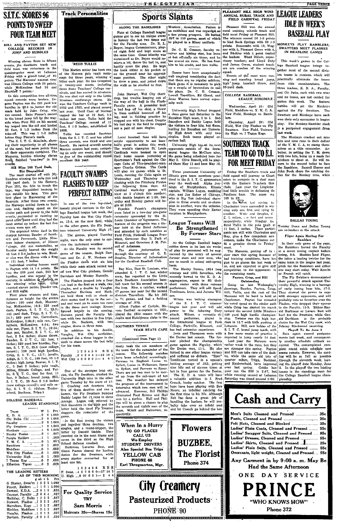**THE EGYPTIAN** 



L AND PAYTON SET NEW<br>OLLEGE RECORDS IN<br>JUMP AND HURDLES co

Winning eleven firsts in fifteen<br>events, the Southern track and<br>field team was victorious in the field team was victorious in the<br>quadrangelar meet at Lebanon<br>Friday with a grand total of 96<br>points. The Marcons' nearest rival<br>was illinois College with 30 points,<br>while McKendree had 26 and<br>Shurtleff 7 points.

FIG. III WARD TO YARD THE TREE TO A THE MANHER TO REFERENCE IN THE MANHER TO WATER THAT THE REPAIR OF THE MANHER TO WARD THE TREE THAT THE TREE THAT THE TREE THAT THE TREE THAT THE TREE THAT THE TREE THAT THE TREE THAT TH

er also won the discus with a fling<br>or 121 feet, 7 inches.<br>Individual scering honors went<br>to Payton with 14 14 points. He<br>won the 220 yard dash, 220 low<br>hurdles, and was second in the minimal reduction,<br>the the winning rel

von the 220 yard dash, 220 low off two Wet City pitchers, Gerald<br>hurdles, and was escoped in the Davidson and Wesley Harrole.<br>
century, in addition to equid in the fit was to the winning relative the winning relation to t

## COLLEGE BASEBALL LEAGUE STANDINGS

| Team                 | w | $\mathbf{L}^{-1}$ |    |
|----------------------|---|-------------------|----|
| K. D. A. 2           |   | 01.               |    |
| Chi Delta Chi 2 0 1. |   |                   |    |
| Faculty $\ldots$     |   | 01                |    |
| $F1v$ Swatters 1     |   | 01.               |    |
| Monkeys 1            |   | 01                |    |
| Hunky Dories 2       |   | $\mathbf{1}$      | ٠  |
| Purple Raiders 1     |   | 1.                |    |
| Y. M. C. A. 0        |   | $\mathbf{1}$      | J. |
|                      |   | 1                 | l, |
| Meddlers 0           |   | 1                 | l, |
| Wet City Flashes 0   |   | 1                 | ï  |
| University High 0    |   | $\mathbf{1}$      | l  |
| 1 Тарра Кеg 0 2      |   |                   | l, |
| Etherton Tigers 0    |   | 2                 |    |

## THE LEADING HITTERS

AS OF THIS MORNING (Shave, Swatch 12 3 2 1000<br>
Brach 12 3 2 1000<br>
Brach 1 3 3 2 1000<br>
Bretoni, K.D.A. ....2 6 1 5 .833<br>
Crausey, Faculty .....2 6 1 5 .833<br>
Crausey, Faculty ....2 6 1 3 2 .667<br>
Stewart, Fightes ... 1 3 2 2 AS OF THIS MORNING



This Marion senior has been onof the Marcon pole vault mainof the naroon pole value in<br>stays for three years, winning a<br>letter each year. He has competed<br>in twenty-one meets, including<br>three State Teachers' College car-<br>mivals, and has scored in nineteen<br>mivals, and has scored in While Macedurev is<br>all  $\Delta v$  and three State Tenchers' College ear-<br>Shurtleff 7 points.<br>Shurtleff 7 points.<br>Shurtleff 7 points.<br>Since between broken. En this constant on the result of second records were broken. Eq. Where

the Flashes down with six hits while their team attack netted ten off two Wet City pitchers, Gerald

the Davidson and Wesley Harrolle.

we of them doubles and one a<br>homer, the Fly Swatters bumped<br>Buddy Logan for 17 runs in three<br>himings. Logan was relieved by<br>linke and the difful and the<br>difful and the tired Fly Swatter<br>sluggers the remainder of the

In the first inning the victor<br>put together three doubles, two put together three doubles, two<br>significant comples, two significant conductions in the next transm and<br>significant in the next transm and select the select of<br>seven in the third as the High School defense cracked.<br>Bardon  $000$ 500 000 000 000

 $\begin{array}{|cccccccccccc|}\hline &1&2&3&4&5&6&\text{ R H E}\\ \hline\text{F. Swat.}\quad &4&6&7&0&0&0\text{---}17&14&3\\ \text{U. High} &\dots&0&01&0&0&1\text{---} &2&4&4\\ \hline \end{array}$ For Quality Service **TRY Sam Morris** Haircuts 35c-Shaves 15c

**Sports Slants** ALONG THE BASELINES

Fans at College Baseball league<br>games got to see an unique event<br>in history the last two times out<br>for the Faculty nine. Dr. R. L.<br>Beyer, league Commissioner, played right field and kept score at-<br>the same time. Great hilarity was

is a same time. Great hilarity was locationed as Dr. Beyer would re-<br>trieve, a hit, throw the ball in, and increase the party is considered to<br>the book either in his pocket or the party of the proper of the ground near hi

John Stewart, Wet City short-John Stewart, wer city shear. Lowell in<br>stop, had trouble keeping out of Jesse Wa<br>the way of the ball in the Flash-<br>ially well.<br>ially well. the way of the ball in the Fisser<br>Faculty game. A grounder took<br>a bad hop off his chirr, a throw<br>in from outfield bounced off his<br>leg, and in fielding practice he<br>stopped one with his chest. Despite<br>this bad day in the fie out a pair of neat singles.

Local baseball fans will have<br>ample opportunity to see base-<br>ball's great in action this week.<br>The world's champion St. Louis Cardinals were booked to open The vine of the outstanding squade Cardinal week-day games will be a set and so-bare and their home states in the Carlier of the state of the state of the state of the state of the state of the state of the state of the st their home season yesterday at

Louis Channes ... The Marcons channel at the Book of the Firstnon of the Hotel Jefferson, Band at the Book of the Marcons of the Marcons of the Channel at the Channel Channel at the Channel at the Channel and the Channel feature of the program was a din-

or Stephen and Raveau vs Spear. [min like out of sixty-<br>received means of Spear.] There are yet two means of the set of the set of<br>the mean of the set of the set of the set of the set of the set of<br>the progress of the tou

When In a Hurry

TO GO PLACES CALL US

We Employ

STUDENT DRIVERS

Also Special Bus Trips

YELLOW CAB

**PHONE 68** 

Earl Throgmorton, Mgr.

 $\begin{cases} \textbf{Western:} & \textbf{Factor is} \\ \textbf{an outfielder and was regarded as} \\ \textbf{a fine young prop.} & \textbf{Re bated} \\ \textbf{a.} & \textbf{fin 110 games, most of which} \\ \textbf{the played in a Miner uniform.} \end{cases}$ 

Dr. C. H. Cramer, faculty receiver and hitting star, has been<br>at bat officially six times, and he<br>has scored six runs. He has four<br>hits to his credit, and two walks. Games have been exceptionally well umpired considering the fact that there are no regular arbiters. Each game it is necessary to pick

Warren have served

Interestive High School dropped<br>
a close game last Saturday to the<br>
Royalton High team, 2 to 3. Bobl<br>
Sanuders and Buddy Logan held<br>
interiors to four hits, but Sene,<br>
hurling for Royalton set Universe.<br>
interiors and Budd ity High down with only two<br>singles. Both teams played ersingles. Both

Forms but<br>
University High hag-as its next<br>
opponents outside of the intra-<br>
mural league the McClure nine,<br>
the game being scheduled here for<br>
May 3. Olive Branch will be play-

League Teams Will

Flow

**BUZB** 

The F

City Creamery

PHONE 90

**Pasteurized Produ** 

**PLEASANT HILL HIGH WINS<br>ANNUAL RURAL TRACK AND<br>FIELD CARNIVAL FRIDAY** Pleasant Hill won the annual

reassin min wou tue annual represent metal represent and field meet Friday at Pleasant Hill.<br>The winners scored 26 1-2 points to lead Rock Springs with 20 1-2  $\omega$  read routes Springs with 20 1-2<br>points. Buncombe with 19, Wag-<br>ner with 5, Pleasant Grove with 4, and Backles with 1 Dynt trailed<br>the leaders. Ward Dillow, super-<br>viary teacher; and Liopy Dispyring teach-<br>and James O squad.

uau.<br>Events of the meet were run svents of the meet were run-<br>ning and scanding broad jump,<br>high 'jump, baseball throw, and<br>50-yard dash.

COLLEGE BASEBALL<br>LEAGUE SCHEDULE

Wednesday, April 15: Old<br>Field, Meddlers vs. Y. M. C. A. New Field, Monkeys vs. Ramblers.

-----<br>-Thursday, April :<br>Field, Wet City Flashe  $26:$ .<br>vs. Fly Swatters. New Field, University High vs. I Tappa Kegs.

# SOUTHERN TRACK **TEAM TO GO TO E.I.**

Cancileaton team successed in wire<br>name of the and type of another. With and Broyles, the E. Initiers, i.m. first and second<br>respectively, while Bradley tie<br>respectively, while Bradley tie<br> $\text{Reed}$  Tulls in the pole value

**LEAGUE LEADERS IDLE IN WEEK'S BASEBALL PLAY** 

**PAGE THREE** 

## --<br>MONKEYS PLAY RAMBLERS,<br>SWATTERS MEET FLASHES IN HEADLINE GAMES

This week's games in the College Baseball league brings together most of the second divison teams in contests which will practically eliminate the losers .<br>from title considerations. The three leaders, K. D. A., Faculty, nd Chi Delts, each with two wins and no losses, are not carded for games this week. The feature<br>battles will pit the Monkeys<br>against the Fly Swatters. The watters and Monkeys have each won their only encounter in league play. The Monkey-Rambler clash is a postponed engagement from last week.

last week.<br>The Monkeys crashed out hine<br>hits and nine runs in their defeat<br>of the Y. M. C. A. to stamp them-<br>solves as a title concender. Ar-<br>beine; in setting the Y. M down<br>with two hits, buy a mark for<br>pitchers to shoot ties for the Monkey nine, while



## **DALLAS YOUNG** Tommy Dunn and Dallas Young<br>are co-leaders in the attack.

Fligor Again Hurling For Ramblers

Ramblers<br>
In their only game of the year,<br>
the Ramblers forced the Faculty<br>
co a seven iming contest before<br>
losing, 8-5. Maddox [and Fligor,<br>
the latter a leading twirler for the

4 for the Cardinal Basebury former since 11 and net may be seen a correct to prince be a several interest of the state in the state of the state in the state in the state in the state in the state in the state in the stat

| husky catcher. The frat                               | ble addition in J. Fred Saturday was timed around 2:05. pionship.                                 |
|-------------------------------------------------------|---------------------------------------------------------------------------------------------------|
| ve been playing with Bob<br>an infielder catching for |                                                                                                   |
| time in his life. Although                            |                                                                                                   |
| s done a great job of<br>the hurlers, he will pro-    | <b>Cash and Carry</b>                                                                             |
| ake over an infield post<br>Crouch go behind the bat. |                                                                                                   |
|                                                       | Men's Suits Cleaned and Pressed<br>35с                                                            |
|                                                       | Felt Hats, Cleaned and Blocked  35c                                                               |
| <b>Flowers</b>                                        | Ladies' Plain Coats, Cleaned and Pressed  55c                                                     |
|                                                       | Ladies' Swagger Suits, Cleaned and Pressed  85c<br>Ladies' Dresses. Cleaned and Pressed  55c      |
| <b>UZBEE.</b>                                         | Ladies' Skirts, Cleaned and Pressed  25c                                                          |
|                                                       | Ladies' Plain Suits, Cleaned and Pressed  55c<br>Overcoats, light weight, Cleaned and Pressed 55c |
| 'he Florist                                           |                                                                                                   |
| Phone 374                                             | Any Garment in by 9:00 a.m. May Be<br>Had the Same Afternoon                                      |
|                                                       |                                                                                                   |
| <b>YORRORREASKA REARCHE</b>                           | ONE DAY SERVICE                                                                                   |
| nery                                                  |                                                                                                   |
|                                                       | PRINCE                                                                                            |
| roducts                                               | "WHO KNOWS HOW"                                                                                   |
|                                                       | Phone 372                                                                                         |
| Ю                                                     |                                                                                                   |
| <u>Carle Reversion Receptions to</u>                  |                                                                                                   |

placement is necessary to call<br>the plays. Dr. C. H. Cramer,<br>Lowell Trovillion, Ed Ghent, and